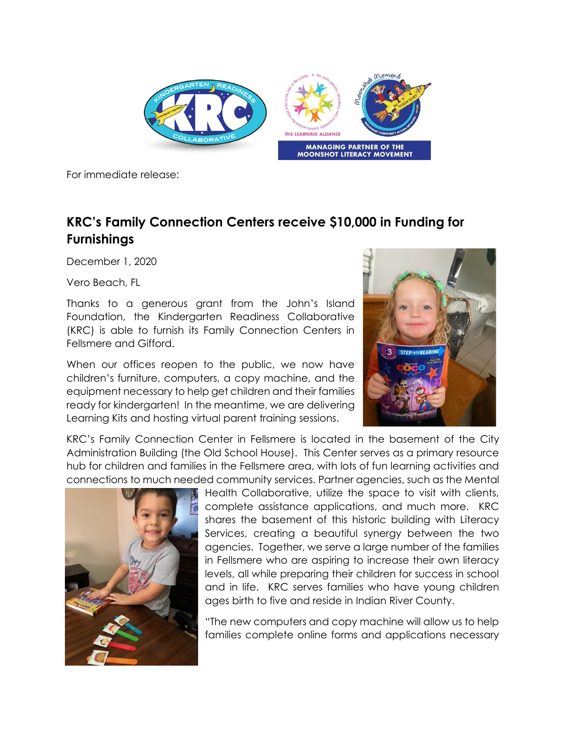

For immediate release:

## **KRC's Family Connection Centers receive \$10,000 in Funding for Furnishings**

December 1, 2020

Vero Beach, FL

Thanks to a generous grant from the John's Island Foundation, the Kindergarten Readiness Collaborative (KRC) is able to furnish its Family Connection Centers in Fellsmere and Gifford.

When our offices reopen to the public, we now have children's furniture, computers, a copy machine, and the equipment necessary to help get children and their families ready for kindergarten! In the meantime, we are delivering Learning Kits and hosting virtual parent training sessions.



KRC's Family Connection Center in Fellsmere is located in the basement of the City Administration Building (the Old School House). This Center serves as a primary resource hub for children and families in the Fellsmere area, with lots of fun learning activities and connections to much needed community services. Partner agencies, such as the Mental



Health Collaborative, utilize the space to visit with clients, complete assistance applications, and much more. KRC shares the basement of this historic building with Literacy Services, creating a beautiful synergy between the two agencies. Together, we serve a large number of the families in Fellsmere who are aspiring to increase their own literacy levels, all while preparing their children for success in school and in life. KRC serves families who have young children ages birth to five and reside in Indian River County.

"The new computers and copy machine will allow us to help families complete online forms and applications necessary